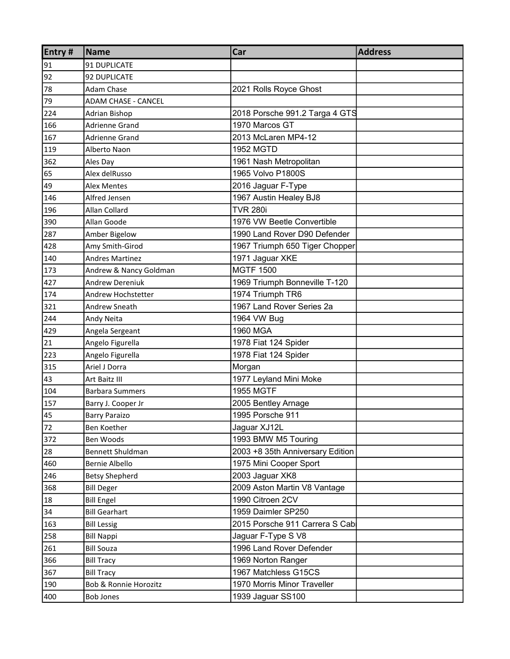| Entry# | <b>Name</b>                | Car                              | <b>Address</b> |
|--------|----------------------------|----------------------------------|----------------|
| 91     | 91 DUPLICATE               |                                  |                |
| 92     | 92 DUPLICATE               |                                  |                |
| 78     | <b>Adam Chase</b>          | 2021 Rolls Royce Ghost           |                |
| 79     | <b>ADAM CHASE - CANCEL</b> |                                  |                |
| 224    | Adrian Bishop              | 2018 Porsche 991.2 Targa 4 GTS   |                |
| 166    | <b>Adrienne Grand</b>      | 1970 Marcos GT                   |                |
| 167    | Adrienne Grand             | 2013 McLaren MP4-12              |                |
| 119    | Alberto Naon               | <b>1952 MGTD</b>                 |                |
| 362    | Ales Day                   | 1961 Nash Metropolitan           |                |
| 65     | Alex delRusso              | 1965 Volvo P1800S                |                |
| 49     | <b>Alex Mentes</b>         | 2016 Jaguar F-Type               |                |
| 146    | Alfred Jensen              | 1967 Austin Healey BJ8           |                |
| 196    | Allan Collard              | <b>TVR 280i</b>                  |                |
| 390    | Allan Goode                | 1976 VW Beetle Convertible       |                |
| 287    | Amber Bigelow              | 1990 Land Rover D90 Defender     |                |
| 428    | Amy Smith-Girod            | 1967 Triumph 650 Tiger Chopper   |                |
| 140    | <b>Andres Martinez</b>     | 1971 Jaguar XKE                  |                |
| 173    | Andrew & Nancy Goldman     | <b>MGTF 1500</b>                 |                |
| 427    | <b>Andrew Dereniuk</b>     | 1969 Triumph Bonneville T-120    |                |
| 174    | Andrew Hochstetter         | 1974 Triumph TR6                 |                |
| 321    | <b>Andrew Sneath</b>       | 1967 Land Rover Series 2a        |                |
| 244    | Andy Neita                 | 1964 VW Bug                      |                |
| 429    | Angela Sergeant            | 1960 MGA                         |                |
| 21     | Angelo Figurella           | 1978 Fiat 124 Spider             |                |
| 223    | Angelo Figurella           | 1978 Fiat 124 Spider             |                |
| 315    | Ariel J Dorra              | Morgan                           |                |
| 43     | Art Baitz III              | 1977 Leyland Mini Moke           |                |
| 104    | <b>Barbara Summers</b>     | <b>1955 MGTF</b>                 |                |
| 157    | Barry J. Cooper Jr         | 2005 Bentley Arnage              |                |
| 45     | <b>Barry Paraizo</b>       | 1995 Porsche 911                 |                |
| 72     | Ben Koether                | Jaguar XJ12L                     |                |
| 372    | Ben Woods                  | 1993 BMW M5 Touring              |                |
| 28     | Bennett Shuldman           | 2003 +8 35th Anniversary Edition |                |
| 460    | <b>Bernie Albello</b>      | 1975 Mini Cooper Sport           |                |
| 246    | <b>Betsy Shepherd</b>      | 2003 Jaguar XK8                  |                |
| 368    | <b>Bill Deger</b>          | 2009 Aston Martin V8 Vantage     |                |
| 18     | <b>Bill Engel</b>          | 1990 Citroen 2CV                 |                |
| 34     | <b>Bill Gearhart</b>       | 1959 Daimler SP250               |                |
| 163    | <b>Bill Lessig</b>         | 2015 Porsche 911 Carrera S Cab   |                |
| 258    | <b>Bill Nappi</b>          | Jaguar F-Type S V8               |                |
| 261    | <b>Bill Souza</b>          | 1996 Land Rover Defender         |                |
| 366    | <b>Bill Tracy</b>          | 1969 Norton Ranger               |                |
| 367    | <b>Bill Tracy</b>          | 1967 Matchless G15CS             |                |
| 190    | Bob & Ronnie Horozitz      | 1970 Morris Minor Traveller      |                |
| 400    | <b>Bob Jones</b>           | 1939 Jaguar SS100                |                |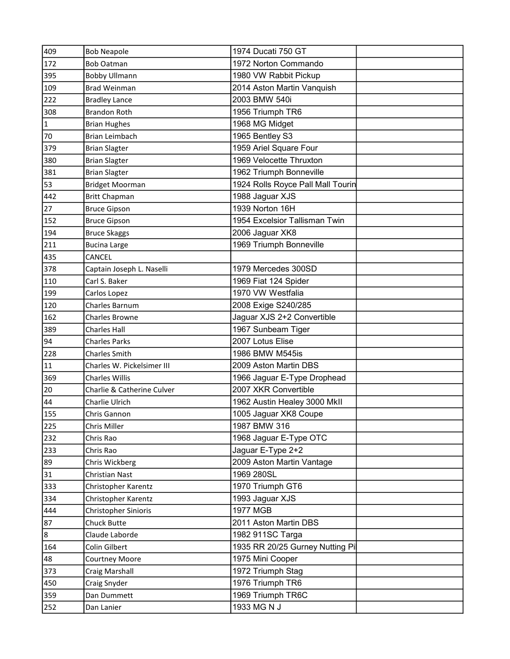| 409          | <b>Bob Neapole</b>         | 1974 Ducati 750 GT                |  |
|--------------|----------------------------|-----------------------------------|--|
| 172          | <b>Bob Oatman</b>          | 1972 Norton Commando              |  |
| 395          | <b>Bobby Ullmann</b>       | 1980 VW Rabbit Pickup             |  |
| 109          | <b>Brad Weinman</b>        | 2014 Aston Martin Vanquish        |  |
| 222          | <b>Bradley Lance</b>       | 2003 BMW 540i                     |  |
| 308          | <b>Brandon Roth</b>        | 1956 Triumph TR6                  |  |
| $\mathbf{1}$ | <b>Brian Hughes</b>        | 1968 MG Midget                    |  |
| 70           | <b>Brian Leimbach</b>      | 1965 Bentley S3                   |  |
| 379          | <b>Brian Slagter</b>       | 1959 Ariel Square Four            |  |
| 380          | <b>Brian Slagter</b>       | 1969 Velocette Thruxton           |  |
| 381          | <b>Brian Slagter</b>       | 1962 Triumph Bonneville           |  |
| 53           | <b>Bridget Moorman</b>     | 1924 Rolls Royce Pall Mall Tourin |  |
| 442          | <b>Britt Chapman</b>       | 1988 Jaguar XJS                   |  |
| 27           | <b>Bruce Gipson</b>        | 1939 Norton 16H                   |  |
| 152          | <b>Bruce Gipson</b>        | 1954 Excelsior Tallisman Twin     |  |
| 194          | <b>Bruce Skaggs</b>        | 2006 Jaguar XK8                   |  |
| 211          | <b>Bucina Large</b>        | 1969 Triumph Bonneville           |  |
| 435          | CANCEL                     |                                   |  |
| 378          | Captain Joseph L. Naselli  | 1979 Mercedes 300SD               |  |
| 110          | Carl S. Baker              | 1969 Fiat 124 Spider              |  |
| 199          | Carlos Lopez               | 1970 VW Westfalia                 |  |
| 120          | Charles Barnum             | 2008 Exige S240/285               |  |
| 162          | Charles Browne             | Jaguar XJS 2+2 Convertible        |  |
| 389          | <b>Charles Hall</b>        | 1967 Sunbeam Tiger                |  |
| 94           | <b>Charles Parks</b>       | 2007 Lotus Elise                  |  |
| 228          | <b>Charles Smith</b>       | 1986 BMW M545is                   |  |
| 11           | Charles W. Pickelsimer III | 2009 Aston Martin DBS             |  |
| 369          | <b>Charles Willis</b>      | 1966 Jaguar E-Type Drophead       |  |
| $20\,$       | Charlie & Catherine Culver | 2007 XKR Convertible              |  |
| 44           | Charlie Ulrich             | 1962 Austin Healey 3000 MkII      |  |
| 155          | Chris Gannon               | 1005 Jaguar XK8 Coupe             |  |
| 225          | Chris Miller               | 1987 BMW 316                      |  |
| 232          | Chris Rao                  | 1968 Jaguar E-Type OTC            |  |
| 233          | Chris Rao                  | Jaguar E-Type 2+2                 |  |
| 89           | Chris Wickberg             | 2009 Aston Martin Vantage         |  |
| 31           | Christian Nast             | 1969 280SL                        |  |
| 333          | Christopher Karentz        | 1970 Triumph GT6                  |  |
| 334          | Christopher Karentz        | 1993 Jaguar XJS                   |  |
| 444          | Christopher Sinioris       | <b>1977 MGB</b>                   |  |
| 87           | Chuck Butte                | 2011 Aston Martin DBS             |  |
| 8            | Claude Laborde             | 1982 911SC Targa                  |  |
| 164          | Colin Gilbert              | 1935 RR 20/25 Gurney Nutting Pi   |  |
| 48           | <b>Courtney Moore</b>      | 1975 Mini Cooper                  |  |
| 373          | Craig Marshall             | 1972 Triumph Stag                 |  |
| 450          | Craig Snyder               | 1976 Triumph TR6                  |  |
| 359          | Dan Dummett                | 1969 Triumph TR6C                 |  |
| 252          | Dan Lanier                 | 1933 MG N J                       |  |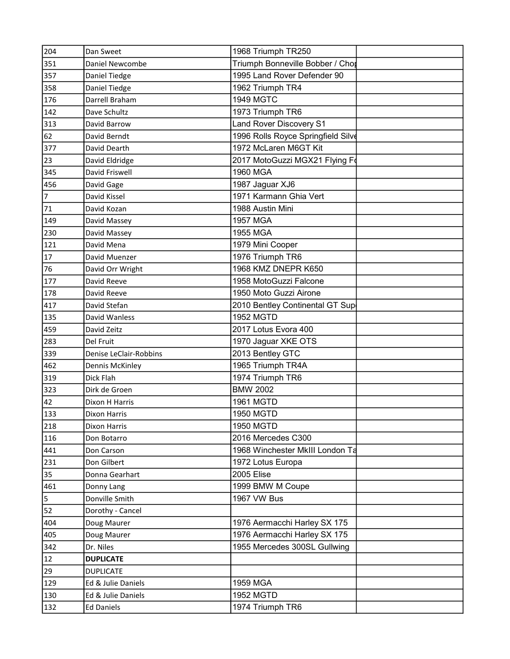| 204            | Dan Sweet              | 1968 Triumph TR250                 |  |
|----------------|------------------------|------------------------------------|--|
| 351            | Daniel Newcombe        | Triumph Bonneville Bobber / Chor   |  |
| 357            | Daniel Tiedge          | 1995 Land Rover Defender 90        |  |
| 358            | Daniel Tiedge          | 1962 Triumph TR4                   |  |
| 176            | Darrell Braham         | <b>1949 MGTC</b>                   |  |
| 142            | Dave Schultz           | 1973 Triumph TR6                   |  |
| 313            | David Barrow           | Land Rover Discovery S1            |  |
| 62             | David Berndt           | 1996 Rolls Royce Springfield Silve |  |
| 377            | David Dearth           | 1972 McLaren M6GT Kit              |  |
| 23             | David Eldridge         | 2017 MotoGuzzi MGX21 Flying Fo     |  |
| 345            | David Friswell         | 1960 MGA                           |  |
| 456            | David Gage             | 1987 Jaguar XJ6                    |  |
| $\overline{7}$ | David Kissel           | 1971 Karmann Ghia Vert             |  |
| 71             | David Kozan            | 1988 Austin Mini                   |  |
| 149            | David Massey           | <b>1957 MGA</b>                    |  |
| 230            | David Massey           | 1955 MGA                           |  |
| 121            | David Mena             | 1979 Mini Cooper                   |  |
| 17             | David Muenzer          | 1976 Triumph TR6                   |  |
| 76             | David Orr Wright       | 1968 KMZ DNEPR K650                |  |
| 177            | David Reeve            | 1958 MotoGuzzi Falcone             |  |
| 178            | David Reeve            | 1950 Moto Guzzi Airone             |  |
| 417            | David Stefan           | 2010 Bentley Continental GT Sup    |  |
| 135            | David Wanless          | 1952 MGTD                          |  |
| 459            | David Zeitz            | 2017 Lotus Evora 400               |  |
| 283            | Del Fruit              | 1970 Jaguar XKE OTS                |  |
| 339            | Denise LeClair-Robbins | 2013 Bentley GTC                   |  |
| 462            | Dennis McKinley        | 1965 Triumph TR4A                  |  |
| 319            | Dick Flah              | 1974 Triumph TR6                   |  |
| 323            | Dirk de Groen          | <b>BMW 2002</b>                    |  |
| 42             | Dixon H Harris         | <b>1961 MGTD</b>                   |  |
| 133            | <b>Dixon Harris</b>    | <b>1950 MGTD</b>                   |  |
| 218            | <b>Dixon Harris</b>    | <b>1950 MGTD</b>                   |  |
| 116            | Don Botarro            | 2016 Mercedes C300                 |  |
| 441            | Don Carson             | 1968 Winchester MkIII London Ta    |  |
| 231            | Don Gilbert            | 1972 Lotus Europa                  |  |
| 35             | Donna Gearhart         | 2005 Elise                         |  |
| 461            | Donny Lang             | 1999 BMW M Coupe                   |  |
| 5              | Donville Smith         | 1967 VW Bus                        |  |
| 52             | Dorothy - Cancel       |                                    |  |
| 404            | Doug Maurer            | 1976 Aermacchi Harley SX 175       |  |
| 405            | Doug Maurer            | 1976 Aermacchi Harley SX 175       |  |
| 342            | Dr. Niles              | 1955 Mercedes 300SL Gullwing       |  |
| 12             | <b>DUPLICATE</b>       |                                    |  |
| 29             | <b>DUPLICATE</b>       |                                    |  |
| 129            | Ed & Julie Daniels     | 1959 MGA                           |  |
| 130            | Ed & Julie Daniels     | <b>1952 MGTD</b>                   |  |
| 132            | <b>Ed Daniels</b>      | 1974 Triumph TR6                   |  |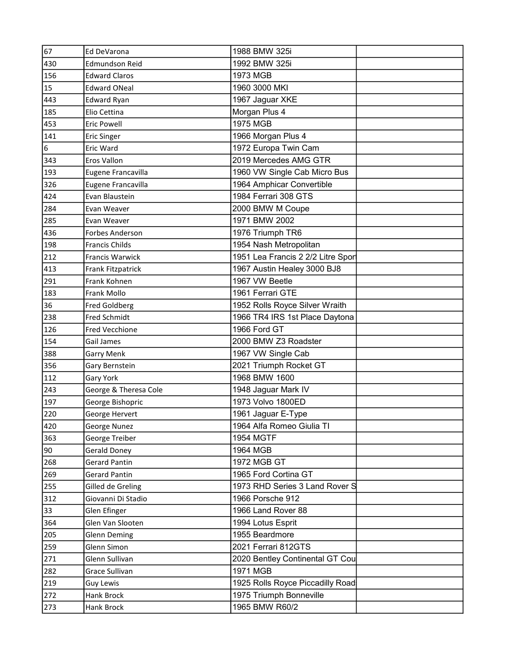| 67  | Ed DeVarona           | 1988 BMW 325i                     |  |
|-----|-----------------------|-----------------------------------|--|
| 430 | Edmundson Reid        | 1992 BMW 325i                     |  |
| 156 | <b>Edward Claros</b>  | 1973 MGB                          |  |
| 15  | <b>Edward ONeal</b>   | 1960 3000 MKI                     |  |
| 443 | <b>Edward Ryan</b>    | 1967 Jaguar XKE                   |  |
| 185 | Elio Cettina          | Morgan Plus 4                     |  |
| 453 | <b>Eric Powell</b>    | 1975 MGB                          |  |
| 141 | <b>Eric Singer</b>    | 1966 Morgan Plus 4                |  |
| 6   | Eric Ward             | 1972 Europa Twin Cam              |  |
| 343 | Eros Vallon           | 2019 Mercedes AMG GTR             |  |
| 193 | Eugene Francavilla    | 1960 VW Single Cab Micro Bus      |  |
| 326 | Eugene Francavilla    | 1964 Amphicar Convertible         |  |
| 424 | Evan Blaustein        | 1984 Ferrari 308 GTS              |  |
| 284 | Evan Weaver           | 2000 BMW M Coupe                  |  |
| 285 | Evan Weaver           | 1971 BMW 2002                     |  |
| 436 | Forbes Anderson       | 1976 Triumph TR6                  |  |
| 198 | <b>Francis Childs</b> | 1954 Nash Metropolitan            |  |
| 212 | Francis Warwick       | 1951 Lea Francis 2 2/2 Litre Spor |  |
| 413 | Frank Fitzpatrick     | 1967 Austin Healey 3000 BJ8       |  |
| 291 | Frank Kohnen          | 1967 VW Beetle                    |  |
| 183 | Frank Mollo           | 1961 Ferrari GTE                  |  |
| 36  | <b>Fred Goldberg</b>  | 1952 Rolls Royce Silver Wraith    |  |
| 238 | <b>Fred Schmidt</b>   | 1966 TR4 IRS 1st Place Daytona    |  |
| 126 | <b>Fred Vecchione</b> | 1966 Ford GT                      |  |
| 154 | Gail James            | 2000 BMW Z3 Roadster              |  |
| 388 | <b>Garry Menk</b>     | 1967 VW Single Cab                |  |
| 356 | Gary Bernstein        | 2021 Triumph Rocket GT            |  |
| 112 | Gary York             | 1968 BMW 1600                     |  |
| 243 | George & Theresa Cole | 1948 Jaguar Mark IV               |  |
| 197 | George Bishopric      | 1973 Volvo 1800ED                 |  |
| 220 | George Hervert        | 1961 Jaguar E-Type                |  |
| 420 | George Nunez          | 1964 Alfa Romeo Giulia TI         |  |
| 363 | George Treiber        | <b>1954 MGTF</b>                  |  |
| 90  | <b>Gerald Doney</b>   | 1964 MGB                          |  |
| 268 | <b>Gerard Pantin</b>  | 1972 MGB GT                       |  |
| 269 | <b>Gerard Pantin</b>  | 1965 Ford Cortina GT              |  |
| 255 | Gilled de Greling     | 1973 RHD Series 3 Land Rover S    |  |
| 312 | Giovanni Di Stadio    | 1966 Porsche 912                  |  |
| 33  | Glen Efinger          | 1966 Land Rover 88                |  |
| 364 | Glen Van Slooten      | 1994 Lotus Esprit                 |  |
| 205 | Glenn Deming          | 1955 Beardmore                    |  |
| 259 | Glenn Simon           | 2021 Ferrari 812GTS               |  |
| 271 | Glenn Sullivan        | 2020 Bentley Continental GT Cou   |  |
| 282 | Grace Sullivan        | 1971 MGB                          |  |
| 219 | <b>Guy Lewis</b>      | 1925 Rolls Royce Piccadilly Road  |  |
| 272 | Hank Brock            | 1975 Triumph Bonneville           |  |
| 273 | Hank Brock            | 1965 BMW R60/2                    |  |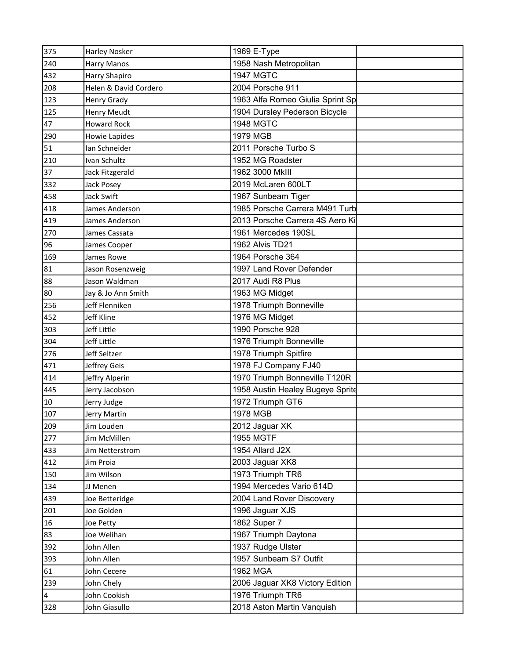| 375                     | <b>Harley Nosker</b>  | 1969 E-Type                      |  |
|-------------------------|-----------------------|----------------------------------|--|
| 240                     | <b>Harry Manos</b>    | 1958 Nash Metropolitan           |  |
| 432                     | Harry Shapiro         | <b>1947 MGTC</b>                 |  |
| 208                     | Helen & David Cordero | 2004 Porsche 911                 |  |
| 123                     | Henry Grady           | 1963 Alfa Romeo Giulia Sprint Sp |  |
| 125                     | <b>Henry Meudt</b>    | 1904 Dursley Pederson Bicycle    |  |
| 47                      | <b>Howard Rock</b>    | <b>1948 MGTC</b>                 |  |
| 290                     | Howie Lapides         | 1979 MGB                         |  |
| 51                      | Ian Schneider         | 2011 Porsche Turbo S             |  |
| 210                     | Ivan Schultz          | 1952 MG Roadster                 |  |
| 37                      | Jack Fitzgerald       | 1962 3000 MkIII                  |  |
| 332                     | Jack Posey            | 2019 McLaren 600LT               |  |
| 458                     | Jack Swift            | 1967 Sunbeam Tiger               |  |
| 418                     | James Anderson        | 1985 Porsche Carrera M491 Turb   |  |
| 419                     | James Anderson        | 2013 Porsche Carrera 4S Aero Ki  |  |
| 270                     | James Cassata         | 1961 Mercedes 190SL              |  |
| 96                      | James Cooper          | 1962 Alvis TD21                  |  |
| 169                     | James Rowe            | 1964 Porsche 364                 |  |
| 81                      | Jason Rosenzweig      | 1997 Land Rover Defender         |  |
| 88                      | Jason Waldman         | 2017 Audi R8 Plus                |  |
| 80                      | Jay & Jo Ann Smith    | 1963 MG Midget                   |  |
| 256                     | Jeff Flenniken        | 1978 Triumph Bonneville          |  |
| 452                     | Jeff Kline            | 1976 MG Midget                   |  |
| 303                     | Jeff Little           | 1990 Porsche 928                 |  |
| 304                     | Jeff Little           | 1976 Triumph Bonneville          |  |
| 276                     | Jeff Seltzer          | 1978 Triumph Spitfire            |  |
| 471                     | Jeffrey Geis          | 1978 FJ Company FJ40             |  |
| 414                     | Jeffry Alperin        | 1970 Triumph Bonneville T120R    |  |
| 445                     | Jerry Jacobson        | 1958 Austin Healey Bugeye Sprite |  |
| $10\,$                  | Jerry Judge           | 1972 Triumph GT6                 |  |
| 107                     | Jerry Martin          | 1978 MGB                         |  |
| 209                     | Jim Louden            | 2012 Jaguar XK                   |  |
| 277                     | Jim McMillen          | <b>1955 MGTF</b>                 |  |
| 433                     | Jim Netterstrom       | 1954 Allard J2X                  |  |
| 412                     | Jim Proia             | 2003 Jaguar XK8                  |  |
| 150                     | Jim Wilson            | 1973 Triumph TR6                 |  |
| 134                     | JJ Menen              | 1994 Mercedes Vario 614D         |  |
| 439                     | Joe Betteridge        | 2004 Land Rover Discovery        |  |
| 201                     | Joe Golden            | 1996 Jaguar XJS                  |  |
| 16                      | Joe Petty             | 1862 Super 7                     |  |
| 83                      | Joe Welihan           | 1967 Triumph Daytona             |  |
| 392                     | John Allen            | 1937 Rudge Ulster                |  |
| 393                     | John Allen            | 1957 Sunbeam S7 Outfit           |  |
| 61                      | John Cecere           | 1962 MGA                         |  |
| 239                     | John Chely            | 2006 Jaguar XK8 Victory Edition  |  |
| $\overline{\mathbf{4}}$ | John Cookish          | 1976 Triumph TR6                 |  |
| 328                     | John Giasullo         | 2018 Aston Martin Vanquish       |  |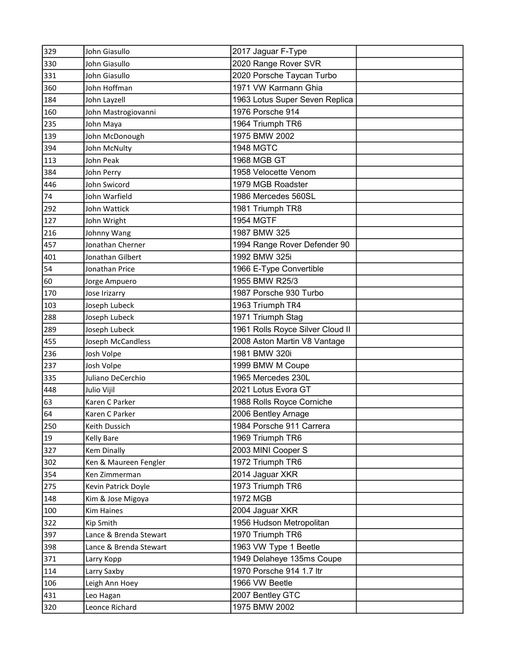| 329 | John Giasullo          | 2017 Jaguar F-Type               |  |
|-----|------------------------|----------------------------------|--|
| 330 | John Giasullo          | 2020 Range Rover SVR             |  |
| 331 | John Giasullo          | 2020 Porsche Taycan Turbo        |  |
| 360 | John Hoffman           | 1971 VW Karmann Ghia             |  |
| 184 | John Layzell           | 1963 Lotus Super Seven Replica   |  |
| 160 | John Mastrogiovanni    | 1976 Porsche 914                 |  |
| 235 | John Maya              | 1964 Triumph TR6                 |  |
| 139 | John McDonough         | 1975 BMW 2002                    |  |
| 394 | John McNulty           | <b>1948 MGTC</b>                 |  |
| 113 | John Peak              | 1968 MGB GT                      |  |
| 384 | John Perry             | 1958 Velocette Venom             |  |
| 446 | John Swicord           | 1979 MGB Roadster                |  |
| 74  | John Warfield          | 1986 Mercedes 560SL              |  |
| 292 | John Wattick           | 1981 Triumph TR8                 |  |
| 127 | John Wright            | <b>1954 MGTF</b>                 |  |
| 216 | Johnny Wang            | 1987 BMW 325                     |  |
| 457 | Jonathan Cherner       | 1994 Range Rover Defender 90     |  |
| 401 | Jonathan Gilbert       | 1992 BMW 325i                    |  |
| 54  | Jonathan Price         | 1966 E-Type Convertible          |  |
| 60  | Jorge Ampuero          | 1955 BMW R25/3                   |  |
| 170 | Jose Irizarry          | 1987 Porsche 930 Turbo           |  |
| 103 | Joseph Lubeck          | 1963 Triumph TR4                 |  |
| 288 | Joseph Lubeck          | 1971 Triumph Stag                |  |
| 289 | Joseph Lubeck          | 1961 Rolls Royce Silver Cloud II |  |
| 455 | Joseph McCandless      | 2008 Aston Martin V8 Vantage     |  |
| 236 | Josh Volpe             | 1981 BMW 320i                    |  |
| 237 | Josh Volpe             | 1999 BMW M Coupe                 |  |
| 335 | Juliano DeCerchio      | 1965 Mercedes 230L               |  |
| 448 | Julio Vijil            | 2021 Lotus Evora GT              |  |
| 63  | Karen C Parker         | 1988 Rolls Royce Corniche        |  |
| 64  | Karen C Parker         | 2006 Bentley Arnage              |  |
| 250 | Keith Dussich          | 1984 Porsche 911 Carrera         |  |
| 19  | <b>Kelly Bare</b>      | 1969 Triumph TR6                 |  |
| 327 | <b>Kem Dinally</b>     | 2003 MINI Cooper S               |  |
| 302 | Ken & Maureen Fengler  | 1972 Triumph TR6                 |  |
| 354 | Ken Zimmerman          | 2014 Jaguar XKR                  |  |
| 275 | Kevin Patrick Doyle    | 1973 Triumph TR6                 |  |
| 148 | Kim & Jose Migoya      | 1972 MGB                         |  |
| 100 | <b>Kim Haines</b>      | 2004 Jaguar XKR                  |  |
| 322 | Kip Smith              | 1956 Hudson Metropolitan         |  |
| 397 | Lance & Brenda Stewart | 1970 Triumph TR6                 |  |
| 398 | Lance & Brenda Stewart | 1963 VW Type 1 Beetle            |  |
| 371 | Larry Kopp             | 1949 Delaheye 135ms Coupe        |  |
| 114 | Larry Saxby            | 1970 Porsche 914 1.7 ltr         |  |
| 106 | Leigh Ann Hoey         | 1966 VW Beetle                   |  |
| 431 | Leo Hagan              | 2007 Bentley GTC                 |  |
| 320 | Leonce Richard         | 1975 BMW 2002                    |  |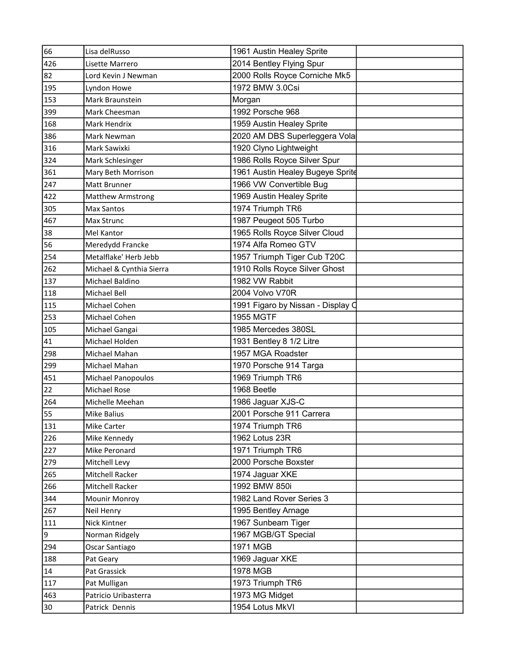| 66  | Lisa delRusso            | 1961 Austin Healey Sprite         |  |
|-----|--------------------------|-----------------------------------|--|
| 426 | Lisette Marrero          | 2014 Bentley Flying Spur          |  |
| 82  | Lord Kevin J Newman      | 2000 Rolls Royce Corniche Mk5     |  |
| 195 | Lyndon Howe              | 1972 BMW 3.0Csi                   |  |
| 153 | Mark Braunstein          | Morgan                            |  |
| 399 | Mark Cheesman            | 1992 Porsche 968                  |  |
| 168 | Mark Hendrix             | 1959 Austin Healey Sprite         |  |
| 386 | Mark Newman              | 2020 AM DBS Superleggera Vola     |  |
| 316 | Mark Sawixki             | 1920 Clyno Lightweight            |  |
| 324 | Mark Schlesinger         | 1986 Rolls Royce Silver Spur      |  |
| 361 | Mary Beth Morrison       | 1961 Austin Healey Bugeye Sprite  |  |
| 247 | Matt Brunner             | 1966 VW Convertible Bug           |  |
| 422 | <b>Matthew Armstrong</b> | 1969 Austin Healey Sprite         |  |
| 305 | <b>Max Santos</b>        | 1974 Triumph TR6                  |  |
| 467 | Max Strunc               | 1987 Peugeot 505 Turbo            |  |
| 38  | <b>Mel Kantor</b>        | 1965 Rolls Royce Silver Cloud     |  |
| 56  | Meredydd Francke         | 1974 Alfa Romeo GTV               |  |
| 254 | Metalflake' Herb Jebb    | 1957 Triumph Tiger Cub T20C       |  |
| 262 | Michael & Cynthia Sierra | 1910 Rolls Royce Silver Ghost     |  |
| 137 | Michael Baldino          | 1982 VW Rabbit                    |  |
| 118 | Michael Bell             | 2004 Volvo V70R                   |  |
| 115 | Michael Cohen            | 1991 Figaro by Nissan - Display Q |  |
| 253 | Michael Cohen            | <b>1955 MGTF</b>                  |  |
| 105 | Michael Gangai           | 1985 Mercedes 380SL               |  |
| 41  | Michael Holden           | 1931 Bentley 8 1/2 Litre          |  |
| 298 | Michael Mahan            | 1957 MGA Roadster                 |  |
| 299 | Michael Mahan            | 1970 Porsche 914 Targa            |  |
| 451 | Michael Panopoulos       | 1969 Triumph TR6                  |  |
| 22  | Michael Rose             | 1968 Beetle                       |  |
| 264 | Michelle Meehan          | 1986 Jaguar XJS-C                 |  |
| 55  | <b>Mike Balius</b>       | 2001 Porsche 911 Carrera          |  |
| 131 | Mike Carter              | 1974 Triumph TR6                  |  |
| 226 | Mike Kennedy             | 1962 Lotus 23R                    |  |
| 227 | Mike Peronard            | 1971 Triumph TR6                  |  |
| 279 | Mitchell Levy            | 2000 Porsche Boxster              |  |
| 265 | Mitchell Racker          | 1974 Jaguar XKE                   |  |
| 266 | Mitchell Racker          | 1992 BMW 850i                     |  |
| 344 | Mounir Monroy            | 1982 Land Rover Series 3          |  |
| 267 | Neil Henry               | 1995 Bentley Arnage               |  |
| 111 | Nick Kintner             | 1967 Sunbeam Tiger                |  |
| 9   | Norman Ridgely           | 1967 MGB/GT Special               |  |
| 294 | Oscar Santiago           | 1971 MGB                          |  |
| 188 | Pat Geary                | 1969 Jaguar XKE                   |  |
| 14  | Pat Grassick             | 1978 MGB                          |  |
| 117 | Pat Mulligan             | 1973 Triumph TR6                  |  |
| 463 | Patricio Uribasterra     | 1973 MG Midget                    |  |
| 30  | Patrick Dennis           | 1954 Lotus MkVI                   |  |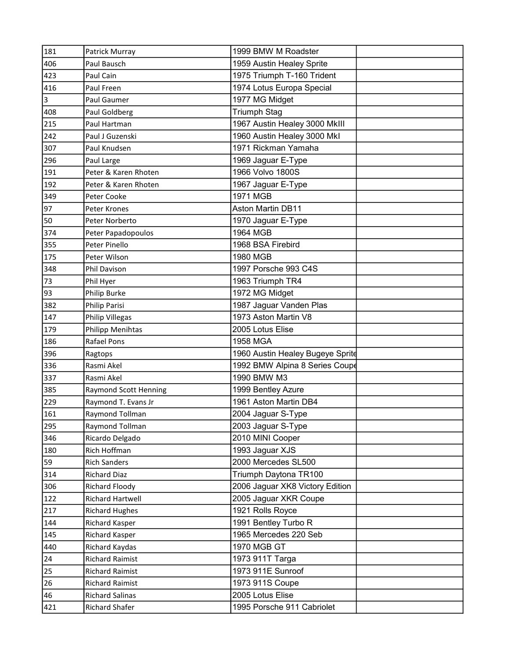| 181                     | Patrick Murray         | 1999 BMW M Roadster              |  |
|-------------------------|------------------------|----------------------------------|--|
| 406                     | Paul Bausch            | 1959 Austin Healey Sprite        |  |
| 423                     | Paul Cain              | 1975 Triumph T-160 Trident       |  |
| 416                     | Paul Freen             | 1974 Lotus Europa Special        |  |
| $\overline{\mathbf{3}}$ | Paul Gaumer            | 1977 MG Midget                   |  |
| 408                     | Paul Goldberg          | <b>Triumph Stag</b>              |  |
| 215                     | Paul Hartman           | 1967 Austin Healey 3000 MkIII    |  |
| 242                     | Paul J Guzenski        | 1960 Austin Healey 3000 Mkl      |  |
| 307                     | Paul Knudsen           | 1971 Rickman Yamaha              |  |
| 296                     | Paul Large             | 1969 Jaguar E-Type               |  |
| 191                     | Peter & Karen Rhoten   | 1966 Volvo 1800S                 |  |
| 192                     | Peter & Karen Rhoten   | 1967 Jaguar E-Type               |  |
| 349                     | Peter Cooke            | 1971 MGB                         |  |
| 97                      | Peter Krones           | <b>Aston Martin DB11</b>         |  |
| 50                      | Peter Norberto         | 1970 Jaguar E-Type               |  |
| 374                     | Peter Papadopoulos     | 1964 MGB                         |  |
| 355                     | Peter Pinello          | 1968 BSA Firebird                |  |
| 175                     | Peter Wilson           | 1980 MGB                         |  |
| 348                     | Phil Davison           | 1997 Porsche 993 C4S             |  |
| 73                      | Phil Hyer              | 1963 Triumph TR4                 |  |
| 93                      | Philip Burke           | 1972 MG Midget                   |  |
| 382                     | Philip Parisi          | 1987 Jaguar Vanden Plas          |  |
| 147                     | <b>Philip Villegas</b> | 1973 Aston Martin V8             |  |
| 179                     | Philipp Menihtas       | 2005 Lotus Elise                 |  |
| 186                     | Rafael Pons            | 1958 MGA                         |  |
| 396                     | Ragtops                | 1960 Austin Healey Bugeye Sprite |  |
| 336                     | Rasmi Akel             | 1992 BMW Alpina 8 Series Coupe   |  |
| 337                     | Rasmi Akel             | 1990 BMW M3                      |  |
| 385                     | Raymond Scott Henning  | 1999 Bentley Azure               |  |
| 229                     | Raymond T. Evans Jr    | 1961 Aston Martin DB4            |  |
| 161                     | Raymond Tollman        | 2004 Jaguar S-Type               |  |
| 295                     | Raymond Tollman        | 2003 Jaguar S-Type               |  |
| 346                     | Ricardo Delgado        | 2010 MINI Cooper                 |  |
| 180                     | Rich Hoffman           | 1993 Jaguar XJS                  |  |
| 59                      | <b>Rich Sanders</b>    | 2000 Mercedes SL500              |  |
| 314                     | <b>Richard Diaz</b>    | Triumph Daytona TR100            |  |
| 306                     | Richard Floody         | 2006 Jaguar XK8 Victory Edition  |  |
| 122                     | Richard Hartwell       | 2005 Jaguar XKR Coupe            |  |
| 217                     | <b>Richard Hughes</b>  | 1921 Rolls Royce                 |  |
| 144                     | Richard Kasper         | 1991 Bentley Turbo R             |  |
| 145                     | Richard Kasper         | 1965 Mercedes 220 Seb            |  |
| 440                     | Richard Kaydas         | 1970 MGB GT                      |  |
| 24                      | <b>Richard Raimist</b> | 1973 911T Targa                  |  |
| 25                      | <b>Richard Raimist</b> | 1973 911E Sunroof                |  |
| 26                      | <b>Richard Raimist</b> | 1973 911S Coupe                  |  |
| 46                      | <b>Richard Salinas</b> | 2005 Lotus Elise                 |  |
| 421                     | Richard Shafer         | 1995 Porsche 911 Cabriolet       |  |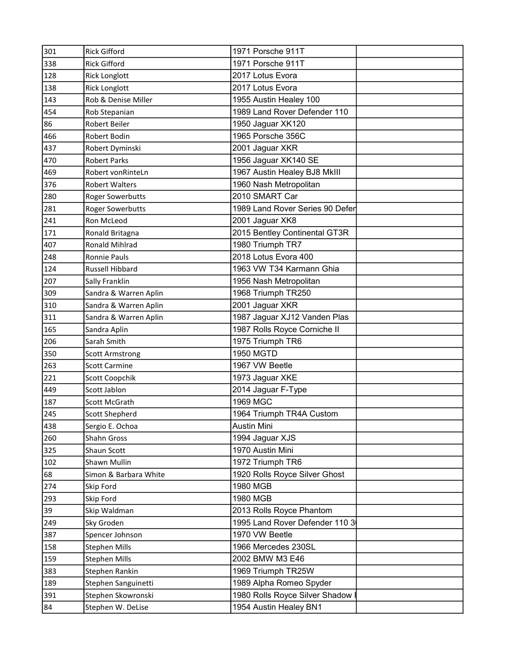| 301 | <b>Rick Gifford</b>     | 1971 Porsche 911T                |  |
|-----|-------------------------|----------------------------------|--|
| 338 | <b>Rick Gifford</b>     | 1971 Porsche 911T                |  |
| 128 | <b>Rick Longlott</b>    | 2017 Lotus Evora                 |  |
| 138 | <b>Rick Longlott</b>    | 2017 Lotus Evora                 |  |
| 143 | Rob & Denise Miller     | 1955 Austin Healey 100           |  |
| 454 | Rob Stepanian           | 1989 Land Rover Defender 110     |  |
| 86  | <b>Robert Beiler</b>    | 1950 Jaguar XK120                |  |
| 466 | Robert Bodin            | 1965 Porsche 356C                |  |
| 437 | Robert Dyminski         | 2001 Jaguar XKR                  |  |
| 470 | <b>Robert Parks</b>     | 1956 Jaguar XK140 SE             |  |
| 469 | Robert vonRinteLn       | 1967 Austin Healey BJ8 MkIII     |  |
| 376 | <b>Robert Walters</b>   | 1960 Nash Metropolitan           |  |
| 280 | <b>Roger Sowerbutts</b> | 2010 SMART Car                   |  |
| 281 | <b>Roger Sowerbutts</b> | 1989 Land Rover Series 90 Defer  |  |
| 241 | Ron McLeod              | 2001 Jaguar XK8                  |  |
| 171 | Ronald Britagna         | 2015 Bentley Continental GT3R    |  |
| 407 | Ronald Mihlrad          | 1980 Triumph TR7                 |  |
| 248 | Ronnie Pauls            | 2018 Lotus Evora 400             |  |
| 124 | Russell Hibbard         | 1963 VW T34 Karmann Ghia         |  |
| 207 | Sally Franklin          | 1956 Nash Metropolitan           |  |
| 309 | Sandra & Warren Aplin   | 1968 Triumph TR250               |  |
| 310 | Sandra & Warren Aplin   | 2001 Jaguar XKR                  |  |
| 311 | Sandra & Warren Aplin   | 1987 Jaguar XJ12 Vanden Plas     |  |
| 165 | Sandra Aplin            | 1987 Rolls Royce Corniche II     |  |
| 206 | Sarah Smith             | 1975 Triumph TR6                 |  |
| 350 | <b>Scott Armstrong</b>  | <b>1950 MGTD</b>                 |  |
| 263 | <b>Scott Carmine</b>    | 1967 VW Beetle                   |  |
| 221 | <b>Scott Coopchik</b>   | 1973 Jaguar XKE                  |  |
| 449 | Scott Jablon            | 2014 Jaguar F-Type               |  |
| 187 | Scott McGrath           | 1969 MGC                         |  |
| 245 | <b>Scott Shepherd</b>   | 1964 Triumph TR4A Custom         |  |
| 438 | Sergio E. Ochoa         | <b>Austin Mini</b>               |  |
| 260 | Shahn Gross             | 1994 Jaguar XJS                  |  |
| 325 | Shaun Scott             | 1970 Austin Mini                 |  |
| 102 | Shawn Mullin            | 1972 Triumph TR6                 |  |
| 68  | Simon & Barbara White   | 1920 Rolls Royce Silver Ghost    |  |
| 274 | Skip Ford               | 1980 MGB                         |  |
| 293 | Skip Ford               | 1980 MGB                         |  |
| 39  | Skip Waldman            | 2013 Rolls Royce Phantom         |  |
| 249 | Sky Groden              | 1995 Land Rover Defender 110 3   |  |
| 387 | Spencer Johnson         | 1970 VW Beetle                   |  |
| 158 | <b>Stephen Mills</b>    | 1966 Mercedes 230SL              |  |
| 159 | <b>Stephen Mills</b>    | 2002 BMW M3 E46                  |  |
| 383 | Stephen Rankin          | 1969 Triumph TR25W               |  |
| 189 | Stephen Sanguinetti     | 1989 Alpha Romeo Spyder          |  |
| 391 | Stephen Skowronski      | 1980 Rolls Royce Silver Shadow I |  |
| 84  | Stephen W. DeLise       | 1954 Austin Healey BN1           |  |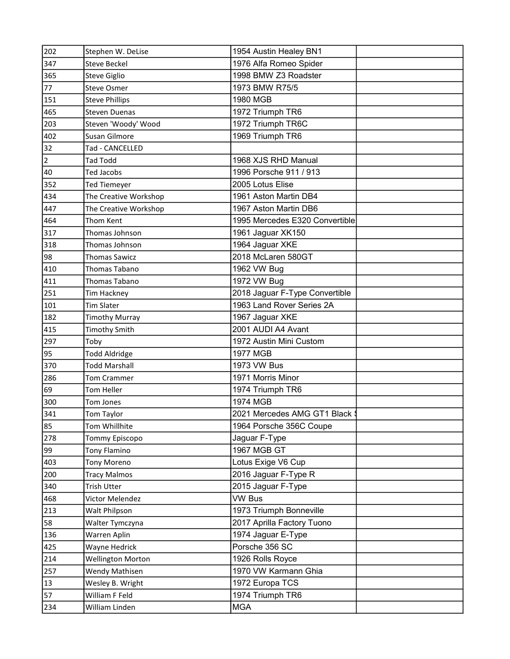| 202            | Stephen W. DeLise        | 1954 Austin Healey BN1         |  |
|----------------|--------------------------|--------------------------------|--|
| 347            | <b>Steve Beckel</b>      | 1976 Alfa Romeo Spider         |  |
| 365            | Steve Giglio             | 1998 BMW Z3 Roadster           |  |
| 77             | <b>Steve Osmer</b>       | 1973 BMW R75/5                 |  |
| 151            | <b>Steve Phillips</b>    | 1980 MGB                       |  |
| 465            | <b>Steven Duenas</b>     | 1972 Triumph TR6               |  |
| 203            | Steven 'Woody' Wood      | 1972 Triumph TR6C              |  |
| 402            | Susan Gilmore            | 1969 Triumph TR6               |  |
| 32             | Tad - CANCELLED          |                                |  |
| $\overline{2}$ | <b>Tad Todd</b>          | 1968 XJS RHD Manual            |  |
| 40             | Ted Jacobs               | 1996 Porsche 911 / 913         |  |
| 352            | <b>Ted Tiemeyer</b>      | 2005 Lotus Elise               |  |
| 434            | The Creative Workshop    | 1961 Aston Martin DB4          |  |
| 447            | The Creative Workshop    | 1967 Aston Martin DB6          |  |
| 464            | Thom Kent                | 1995 Mercedes E320 Convertible |  |
| 317            | Thomas Johnson           | 1961 Jaguar XK150              |  |
| 318            | Thomas Johnson           | 1964 Jaguar XKE                |  |
| 98             | <b>Thomas Sawicz</b>     | 2018 McLaren 580GT             |  |
| 410            | <b>Thomas Tabano</b>     | 1962 VW Bug                    |  |
| 411            | Thomas Tabano            | 1972 VW Bug                    |  |
| 251            | Tim Hackney              | 2018 Jaguar F-Type Convertible |  |
| 101            | <b>Tim Slater</b>        | 1963 Land Rover Series 2A      |  |
| 182            | <b>Timothy Murray</b>    | 1967 Jaguar XKE                |  |
| 415            | <b>Timothy Smith</b>     | 2001 AUDI A4 Avant             |  |
| 297            | Toby                     | 1972 Austin Mini Custom        |  |
| 95             | <b>Todd Aldridge</b>     | <b>1977 MGB</b>                |  |
| 370            | <b>Todd Marshall</b>     | 1973 VW Bus                    |  |
| 286            | <b>Tom Crammer</b>       | 1971 Morris Minor              |  |
| 69             | <b>Tom Heller</b>        | 1974 Triumph TR6               |  |
| 300            | Tom Jones                | 1974 MGB                       |  |
| 341            | Tom Taylor               | 2021 Mercedes AMG GT1 Black \$ |  |
| 85             | Tom Whillhite            | 1964 Porsche 356C Coupe        |  |
| 278            | Tommy Episcopo           | Jaguar F-Type                  |  |
| 99             | Tony Flamino             | 1967 MGB GT                    |  |
| 403            | <b>Tony Moreno</b>       | Lotus Exige V6 Cup             |  |
| 200            | <b>Tracy Malmos</b>      | 2016 Jaguar F-Type R           |  |
| 340            | Trish Utter              | 2015 Jaguar F-Type             |  |
| 468            | Victor Melendez          | <b>VW Bus</b>                  |  |
| 213            | Walt Philpson            | 1973 Triumph Bonneville        |  |
| 58             | Walter Tymczyna          | 2017 Aprilla Factory Tuono     |  |
| 136            | Warren Aplin             | 1974 Jaguar E-Type             |  |
| 425            | Wayne Hedrick            | Porsche 356 SC                 |  |
| 214            | <b>Wellington Morton</b> | 1926 Rolls Royce               |  |
| 257            | Wendy Mathisen           | 1970 VW Karmann Ghia           |  |
| 13             | Wesley B. Wright         | 1972 Europa TCS                |  |
| 57             | William F Feld           | 1974 Triumph TR6               |  |
| 234            | William Linden           | <b>MGA</b>                     |  |